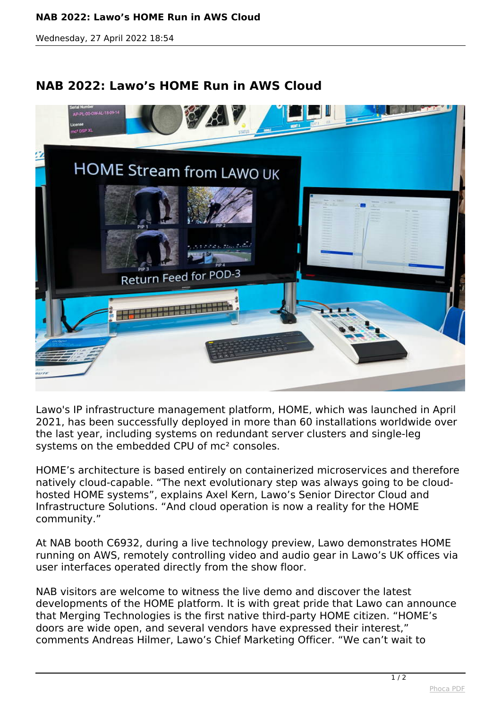## **NAB 2022: Lawo's HOME Run in AWS Cloud**

*Wednesday, 27 April 2022 18:54*

## **NAB 2022: Lawo's HOME Run in AWS Cloud**



*Lawo's IP infrastructure management platform, HOME, which was launched in April 2021, has been successfully deployed in more than 60 installations worldwide over the last year, including systems on redundant server clusters and single-leg systems on the embedded CPU of mc² consoles.*

*HOME's architecture is based entirely on containerized microservices and therefore natively cloud-capable. "The next evolutionary step was always going to be cloudhosted HOME systems", explains Axel Kern, Lawo's Senior Director Cloud and Infrastructure Solutions. "And cloud operation is now a reality for the HOME community."*

*At NAB booth C6932, during a live technology preview, Lawo demonstrates HOME running on AWS, remotely controlling video and audio gear in Lawo's UK offices via user interfaces operated directly from the show floor.*

*NAB visitors are welcome to witness the live demo and discover the latest developments of the HOME platform. It is with great pride that Lawo can announce that Merging Technologies is the first native third-party HOME citizen. "HOME's doors are wide open, and several vendors have expressed their interest," comments Andreas Hilmer, Lawo's Chief Marketing Officer. "We can't wait to*